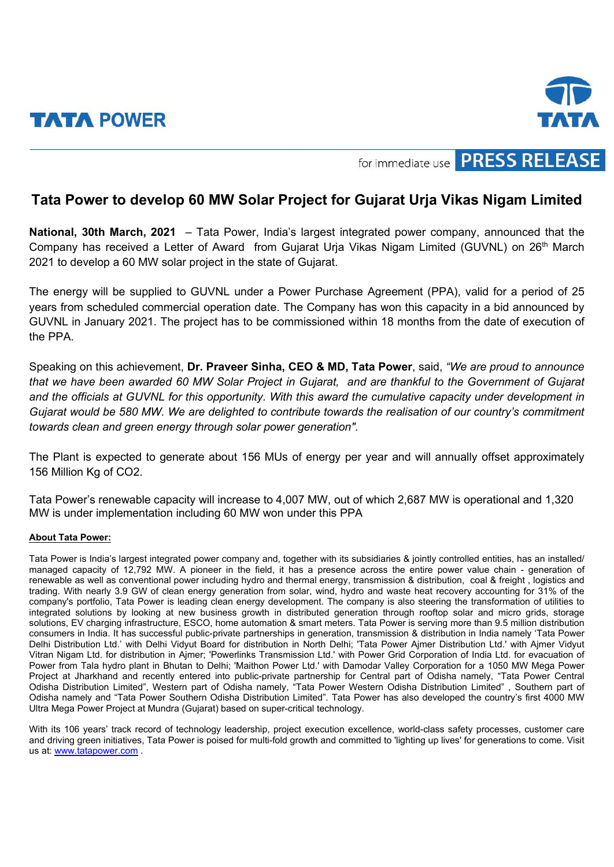



for immediate use **PRESS RELEASE** 

## **Tata Power to develop 60 MW Solar Project for Gujarat Urja Vikas Nigam Limited**

**National, 30th March, 2021** – Tata Power, India's largest integrated power company, announced that the Company has received a Letter of Award from Gujarat Uria Vikas Nigam Limited (GUVNL) on 26<sup>th</sup> March 2021 to develop a 60 MW solar project in the state of Gujarat.

The energy will be supplied to GUVNL under a Power Purchase Agreement (PPA), valid for a period of 25 years from scheduled commercial operation date. The Company has won this capacity in a bid announced by GUVNL in January 2021. The project has to be commissioned within 18 months from the date of execution of the PPA.

Speaking on this achievement, **Dr. Praveer Sinha, CEO & MD, Tata Power**, said, *"We are proud to announce that we have been awarded 60 MW Solar Project in Gujarat, and are thankful to the Government of Gujarat and the officials at GUVNL for this opportunity. With this award the cumulative capacity under development in Gujarat would be 580 MW. We are delighted to contribute towards the realisation of our country's commitment towards clean and green energy through solar power generation".* 

The Plant is expected to generate about 156 MUs of energy per year and will annually offset approximately 156 Million Kg of CO2.

Tata Power's renewable capacity will increase to 4,007 MW, out of which 2,687 MW is operational and 1,320 MW is under implementation including 60 MW won under this PPA

## **About Tata Power:**

Tata Power is India's largest integrated power company and, together with its subsidiaries & jointly controlled entities, has an installed/ managed capacity of 12,792 MW. A pioneer in the field, it has a presence across the entire power value chain - generation of renewable as well as conventional power including hydro and thermal energy, transmission & distribution, coal & freight , logistics and trading. With nearly 3.9 GW of clean energy generation from solar, wind, hydro and waste heat recovery accounting for 31% of the company's portfolio, Tata Power is leading clean energy development. The company is also steering the transformation of utilities to integrated solutions by looking at new business growth in distributed generation through rooftop solar and micro grids, storage solutions, EV charging infrastructure, ESCO, home automation & smart meters. Tata Power is serving more than 9.5 million distribution consumers in India. It has successful public-private partnerships in generation, transmission & distribution in India namely 'Tata Power Delhi Distribution Ltd.' with Delhi Vidyut Board for distribution in North Delhi; 'Tata Power Ajmer Distribution Ltd.' with Ajmer Vidyut Vitran Nigam Ltd. for distribution in Ajmer; 'Powerlinks Transmission Ltd.' with Power Grid Corporation of India Ltd. for evacuation of Power from Tala hydro plant in Bhutan to Delhi; 'Maithon Power Ltd.' with Damodar Valley Corporation for a 1050 MW Mega Power Project at Jharkhand and recently entered into public-private partnership for Central part of Odisha namely, "Tata Power Central Odisha Distribution Limited", Western part of Odisha namely, "Tata Power Western Odisha Distribution Limited" , Southern part of Odisha namely and "Tata Power Southern Odisha Distribution Limited". Tata Power has also developed the country's first 4000 MW Ultra Mega Power Project at Mundra (Gujarat) based on super-critical technology.

With its 106 years' track record of technology leadership, project execution excellence, world-class safety processes, customer care and driving green initiatives, Tata Power is poised for multi-fold growth and committed to 'lighting up lives' for generations to come. Visit us at: [www.tatapower.com](http://www.tatapower.com/) .